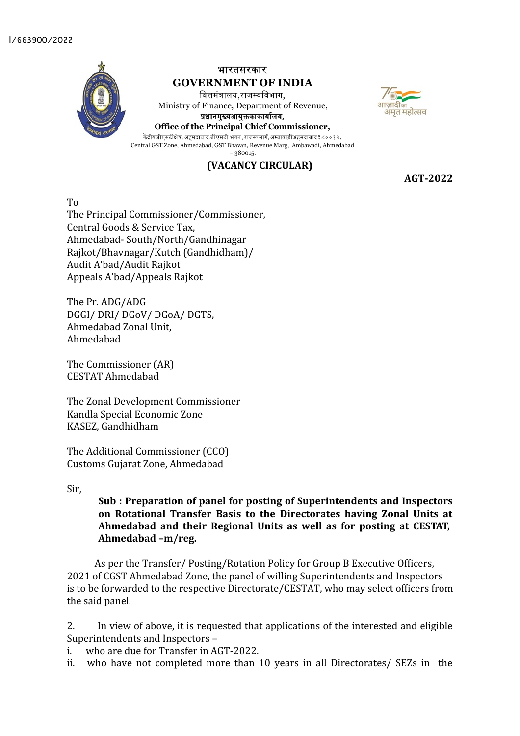

## **(VACANCY CIRCULAR)**

**AGT-2022**

नत महोत्सव

To The Principal Commissioner/Commissioner, Central Goods & Service Tax, Ahmedabad- South/North/Gandhinagar Rajkot/Bhavnagar/Kutch (Gandhidham)/ Audit A'bad/Audit Rajkot Appeals A'bad/Appeals Rajkot

The Pr. ADG/ADG DGGI/ DRI/ DGoV/ DGoA/ DGTS, Ahmedabad Zonal Unit, Ahmedabad

The Commissioner (AR) CESTAT Ahmedabad

The Zonal Development Commissioner Kandla Special Economic Zone KASEZ, Gandhidham

The Additional Commissioner (CCO) Customs Gujarat Zone, Ahmedabad

Sir,

## **Sub : Preparation of panel for posting of Superintendents and Inspectors on Rotational Transfer Basis to the Directorates having Zonal Units at Ahmedabad and their Regional Units as well as for posting at CESTAT, Ahmedabad –m/reg.**

As per the Transfer/ Posting/Rotation Policy for Group B Executive Officers, 2021 of CGST Ahmedabad Zone, the panel of willing Superintendents and Inspectors is to be forwarded to the respective Directorate/CESTAT, who may select officers from the said panel.

2. In view of above, it is requested that applications of the interested and eligible Superintendents and Inspectors –

i. who are due for Transfer in AGT-2022.

ii. who have not completed more than 10 years in all Directorates/ SEZs in the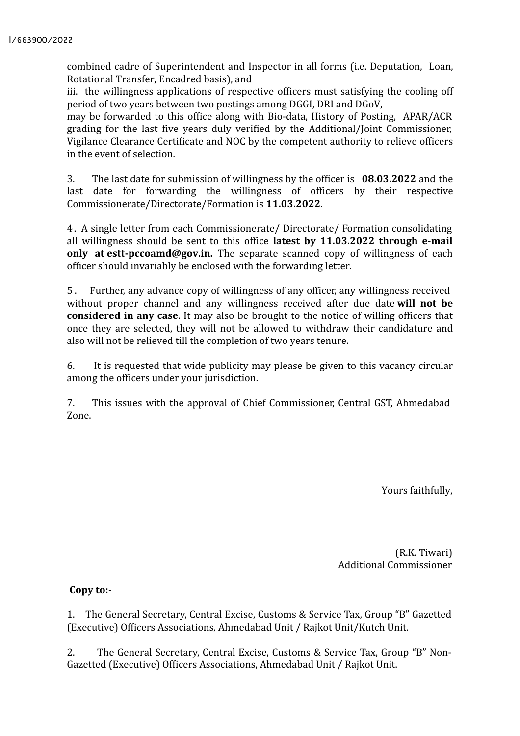combined cadre of Superintendent and Inspector in all forms (i.e. Deputation, Loan, Rotational Transfer, Encadred basis), and

iii. the willingness applications of respective officers must satisfying the cooling off period of two years between two postings among DGGI, DRI and DGoV,

may be forwarded to this office along with Bio-data, History of Posting, APAR/ACR grading for the last five years duly verified by the Additional/Joint Commissioner, Vigilance Clearance Certificate and NOC by the competent authority to relieve officers in the event of selection.

3. The last date for submission of willingness by the officer is **08.03.2022** and the last date for forwarding the willingness of officers by their respective Commissionerate/Directorate/Formation is **11.03.2022**.

4. A single letter from each Commissionerate/ Directorate/ Formation consolidating all willingness should be sent to this office latest by 11.03.2022 through e-mail **only at estt-pccoamd@gov.in.** The separate scanned copy of willingness of each officer should invariably be enclosed with the forwarding letter.

5. Further, any advance copy of willingness of any officer, any willingness received without proper channel and any willingness received after due date **will not be considered in any case**. It may also be brought to the notice of willing officers that once they are selected, they will not be allowed to withdraw their candidature and also will not be relieved till the completion of two years tenure.

6. It is requested that wide publicity may please be given to this vacancy circular among the officers under your jurisdiction.

7. This issues with the approval of Chief Commissioner, Central GST, Ahmedabad Zone.

Yours faithfully,

(R.K. Tiwari) Additional Commissioner

## **Copy to:-**

1. The General Secretary, Central Excise, Customs & Service Tax, Group "B" Gazetted (Executive) Officers Associations, Ahmedabad Unit / Rajkot Unit/Kutch Unit.

2. The General Secretary, Central Excise, Customs & Service Tax, Group "B" Non-Gazetted (Executive) Officers Associations, Ahmedabad Unit / Rajkot Unit.